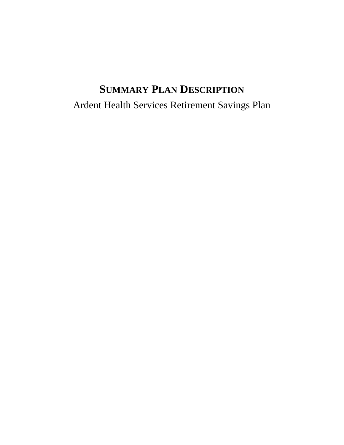# **SUMMARY PLAN DESCRIPTION** Ardent Health Services Retirement Savings Plan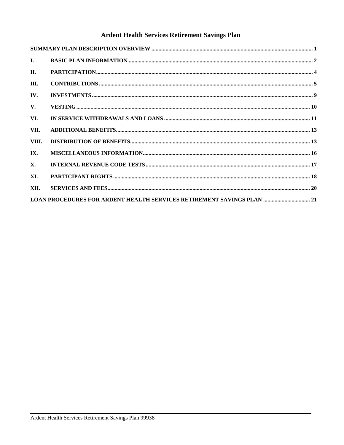# Ardent Health Services Retirement Savings Plan

| $\mathbf{I}$ . |                                                                               |
|----------------|-------------------------------------------------------------------------------|
| II.            |                                                                               |
| III.           |                                                                               |
| IV.            |                                                                               |
| V.             |                                                                               |
| VI.            |                                                                               |
| VII.           |                                                                               |
| VIII.          |                                                                               |
| IX.            |                                                                               |
| <b>X.</b>      |                                                                               |
| XI.            |                                                                               |
| XII.           |                                                                               |
|                | <b>LOAN PROCEDURES FOR ARDENT HEALTH SERVICES RETIREMENT SAVINGS PLAN  21</b> |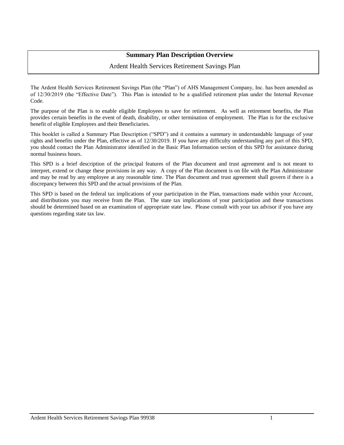# **Summary Plan Description Overview**

# Ardent Health Services Retirement Savings Plan

<span id="page-2-0"></span>The Ardent Health Services Retirement Savings Plan (the "Plan") of AHS Management Company, Inc. has been amended as of 12/30/2019 (the "Effective Date"). This Plan is intended to be a qualified retirement plan under the Internal Revenue Code.

The purpose of the Plan is to enable eligible Employees to save for retirement. As well as retirement benefits, the Plan provides certain benefits in the event of death, disability, or other termination of employment. The Plan is for the exclusive benefit of eligible Employees and their Beneficiaries.

This booklet is called a Summary Plan Description ("SPD") and it contains a summary in understandable language of your rights and benefits under the Plan, effective as of 12/30/2019. If you have any difficulty understanding any part of this SPD, you should contact the Plan Administrator identified in the Basic Plan Information section of this SPD for assistance during normal business hours.

This SPD is a brief description of the principal features of the Plan document and trust agreement and is not meant to interpret, extend or change these provisions in any way. A copy of the Plan document is on file with the Plan Administrator and may be read by any employee at any reasonable time. The Plan document and trust agreement shall govern if there is a discrepancy between this SPD and the actual provisions of the Plan.

This SPD is based on the federal tax implications of your participation in the Plan, transactions made within your Account, and distributions you may receive from the Plan. The state tax implications of your participation and these transactions should be determined based on an examination of appropriate state law. Please consult with your tax advisor if you have any questions regarding state tax law.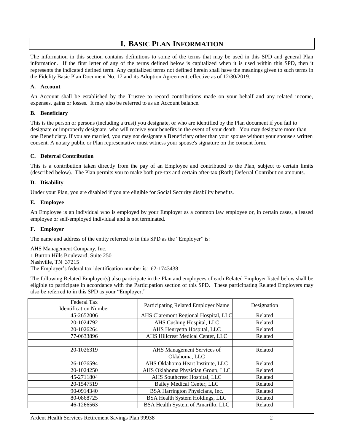# **I. BASIC PLAN INFORMATION**

<span id="page-3-0"></span>The information in this section contains definitions to some of the terms that may be used in this SPD and general Plan information. If the first letter of any of the terms defined below is capitalized when it is used within this SPD, then it represents the indicated defined term. Any capitalized terms not defined herein shall have the meanings given to such terms in the Fidelity Basic Plan Document No. 17 and its Adoption Agreement, effective as of 12/30/2019.

## **A. Account**

An Account shall be established by the Trustee to record contributions made on your behalf and any related income, expenses, gains or losses. It may also be referred to as an Account balance.

## **B. Beneficiary**

This is the person or persons (including a trust) you designate, or who are identified by the Plan document if you fail to designate or improperly designate, who will receive your benefits in the event of your death. You may designate more than one Beneficiary. If you are married, you may not designate a Beneficiary other than your spouse without your spouse's written consent. A notary public or Plan representative must witness your spouse's signature on the consent form.

# **C. Deferral Contribution**

This is a contribution taken directly from the pay of an Employee and contributed to the Plan, subject to certain limits (described below). The Plan permits you to make both pre-tax and certain after-tax (Roth) Deferral Contribution amounts.

# **D. Disability**

Under your Plan, you are disabled if you are eligible for Social Security disability benefits.

## **E. Employee**

An Employee is an individual who is employed by your Employer as a common law employee or, in certain cases, a leased employee or self-employed individual and is not terminated.

## **F. Employer**

The name and address of the entity referred to in this SPD as the "Employer" is:

AHS Management Company, Inc. 1 Burton Hills Boulevard, Suite 250 Nashville, TN 37215 The Employer's federal tax identification number is: 62-1743438

The following Related Employer(s) also participate in the Plan and employees of each Related Employer listed below shall be eligible to participate in accordance with the Participation section of this SPD. These participating Related Employers may also be referred to in this SPD as your "Employer."

| Federal Tax<br><b>Identification Number</b> | Participating Related Employer Name  | Designation |
|---------------------------------------------|--------------------------------------|-------------|
| 45-2652006                                  | AHS Claremont Regional Hospital, LLC | Related     |
| 20-1024792                                  | AHS Cushing Hospital, LLC            | Related     |
| 20-1026264                                  | AHS Henryetta Hospital, LLC          | Related     |
| 77-0633896                                  | AHS Hillcrest Medical Center, LLC    | Related     |
|                                             |                                      |             |
| 20-1026319                                  | AHS Management Services of           | Related     |
|                                             | Oklahoma, LLC                        |             |
| 26-1076594                                  | AHS Oklahoma Heart Institute, LLC    | Related     |
| 20-1024250                                  | AHS Oklahoma Physician Group, LLC    | Related     |
| 45-2711804                                  | AHS Southcrest Hospital, LLC         | Related     |
| 20-1547519                                  | <b>Bailey Medical Center, LLC</b>    | Related     |
| 90-0914340                                  | BSA Harrington Physicians, Inc.      | Related     |
| 80-0868725                                  | BSA Health System Holdings, LLC      | Related     |
| 46-1266563                                  | BSA Health System of Amarillo, LLC   | Related     |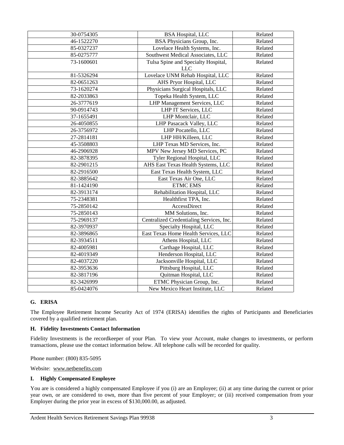| 30-0754305 | <b>BSA Hospital, LLC</b>                   | Related |
|------------|--------------------------------------------|---------|
| 46-1522270 | BSA Physicians Group, Inc.                 | Related |
| 85-0327237 | Lovelace Health Systems, Inc.              | Related |
| 85-0275777 | Southwest Medical Associates, LLC          | Related |
| 73-1600601 | Tulsa Spine and Specialty Hospital,<br>LLC | Related |
| 81-5326294 | Lovelace UNM Rehab Hospital, LLC           | Related |
| 82-0651263 | AHS Pryor Hospital, LLC                    | Related |
| 73-1620274 | Physicians Surgical Hospitals, LLC         | Related |
| 82-2033863 | Topeka Health System, LLC                  | Related |
| 26-3777619 | LHP Management Services, LLC               | Related |
| 90-0914743 | LHP IT Services, LLC                       | Related |
| 37-1655491 | LHP Montclair, LLC                         | Related |
| 26-4050855 | LHP Pasacack Valley, LLC                   | Related |
| 26-3756972 | LHP Pocatello, LLC                         | Related |
| 27-2814181 | LHP HH/Killeen, LLC                        | Related |
| 45-3508803 | LHP Texas MD Services, Inc.                | Related |
| 46-2906928 | MPV New Jersey MD Services, PC             | Related |
| 82-3878395 | Tyler Regional Hospital, LLC               | Related |
| 82-2901215 | AHS East Texas Health Systems, LLC         | Related |
| 82-2916500 | East Texas Health System, LLC              | Related |
| 82-3885642 | East Texas Air One, LLC                    | Related |
| 81-1424190 | <b>ETMC EMS</b>                            | Related |
| 82-3913174 | Rehabilitation Hospital, LLC               | Related |
| 75-2348381 | Healthfirst TPA, Inc.                      | Related |
| 75-2850142 | AccessDirect                               | Related |
| 75-2850143 | MM Solutions, Inc.                         | Related |
| 75-2969137 | Centralized Credentialing Services, Inc.   | Related |
| 82-3970937 | Specialty Hospital, LLC                    | Related |
| 82-3896865 | East Texas Home Health Services, LLC       | Related |
| 82-3934511 | Athens Hospital, LLC                       | Related |
| 82-4005981 | Carthage Hospital, LLC                     | Related |
| 82-4019349 | Henderson Hospital, LLC                    | Related |
| 82-4037220 | Jacksonville Hospital, LLC                 | Related |
| 82-3953636 | Pittsburg Hospital, LLC                    | Related |
| 82-3817196 | Quitman Hospital, LLC                      | Related |
| 82-3426999 | ETMC Physician Group, Inc.                 | Related |
| 85-0424076 | New Mexico Heart Institute, LLC            | Related |

## **G. ERISA**

The Employee Retirement Income Security Act of 1974 (ERISA) identifies the rights of Participants and Beneficiaries covered by a qualified retirement plan.

#### **H. Fidelity Investments Contact Information**

Fidelity Investments is the recordkeeper of your Plan. To view your Account, make changes to investments, or perform transactions, please use the contact information below. All telephone calls will be recorded for quality.

Phone number: (800) 835-5095

Website: www.netbenefits.com

#### **I. Highly Compensated Employee**

You are is considered a highly compensated Employee if you (i) are an Employee; (ii) at any time during the current or prior year own, or are considered to own, more than five percent of your Employer; or (iii) received compensation from your Employer during the prior year in excess of \$130,000.00, as adjusted.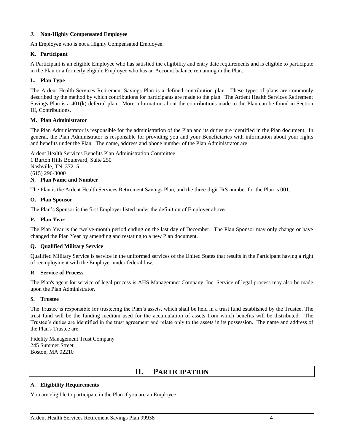## **J. Non-Highly Compensated Employee**

An Employee who is not a Highly Compensated Employee.

### **K. Participant**

A Participant is an eligible Employee who has satisfied the eligibility and entry date requirements and is eligible to participate in the Plan or a formerly eligible Employee who has an Account balance remaining in the Plan.

#### **L. Plan Type**

The Ardent Health Services Retirement Savings Plan is a defined contribution plan. These types of plans are commonly described by the method by which contributions for participants are made to the plan. The Ardent Health Services Retirement Savings Plan is a 401(k) deferral plan. More information about the contributions made to the Plan can be found in Section III, Contributions.

#### **M. Plan Administrator**

The Plan Administrator is responsible for the administration of the Plan and its duties are identified in the Plan document. In general, the Plan Administrator is responsible for providing you and your Beneficiaries with information about your rights and benefits under the Plan. The name, address and phone number of the Plan Administrator are:

Ardent Health Services Benefits Plan Administration Committee

1 Burton Hills Boulevard, Suite 250 Nashville, TN 37215 (615) 296-3000

# **N. Plan Name and Number**

The Plan is the Ardent Health Services Retirement Savings Plan, and the three-digit IRS number for the Plan is 001.

#### **O. Plan Sponsor**

The Plan's Sponsor is the first Employer listed under the definition of Employer above.

#### **P. Plan Year**

The Plan Year is the twelve-month period ending on the last day of December. The Plan Sponsor may only change or have changed the Plan Year by amending and restating to a new Plan document.

## **Q. Qualified Military Service**

Qualified Military Service is service in the uniformed services of the United States that results in the Participant having a right of reemployment with the Employer under federal law.

#### **R. Service of Process**

The Plan's agent for service of legal process is AHS Managemnet Company, Inc. Service of legal process may also be made upon the Plan Administrator.

#### **S. Trustee**

The Trustee is responsible for trusteeing the Plan's assets, which shall be held in a trust fund established by the Trustee. The trust fund will be the funding medium used for the accumulation of assets from which benefits will be distributed. The Trustee's duties are identified in the trust agreement and relate only to the assets in its possession. The name and address of the Plan's Trustee are:

<span id="page-5-0"></span>Fidelity Management Trust Company 245 Summer Street Boston, MA 02210

# **II. PARTICIPATION**

## **A. Eligibility Requirements**

You are eligible to participate in the Plan if you are an Employee.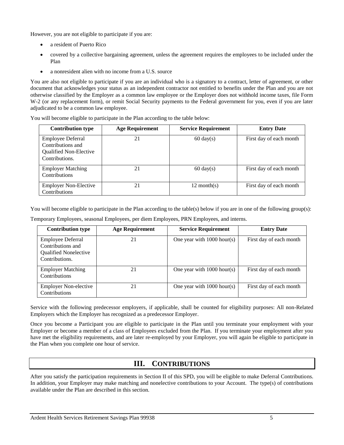However, you are not eligible to participate if you are:

- a resident of Puerto Rico
- covered by a collective bargaining agreement, unless the agreement requires the employees to be included under the Plan
- a nonresident alien with no income from a U.S. source

You are also not eligible to participate if you are an individual who is a signatory to a contract, letter of agreement, or other document that acknowledges your status as an independent contractor not entitled to benefits under the Plan and you are not otherwise classified by the Employer as a common law employee or the Employer does not withhold income taxes, file Form W-2 (or any replacement form), or remit Social Security payments to the Federal government for you, even if you are later adjudicated to be a common law employee.

You will become eligible to participate in the Plan according to the table below:

| <b>Contribution type</b>                                                                         | <b>Age Requirement</b> | <b>Service Requirement</b> | <b>Entry Date</b>       |
|--------------------------------------------------------------------------------------------------|------------------------|----------------------------|-------------------------|
| <b>Employee Deferral</b><br>Contributions and<br><b>Oualified Non-Elective</b><br>Contributions. | 21                     | $60 \text{ day}(s)$        | First day of each month |
| <b>Employer Matching</b><br>Contributions                                                        | 21                     | $60 \text{ day}(s)$        | First day of each month |
| <b>Employer Non-Elective</b><br>Contributions                                                    | 21                     | $12$ month(s)              | First day of each month |

You will become eligible to participate in the Plan according to the table(s) below if you are in one of the following group(s):

Temporary Employees, seasonal Employees, per diem Employees, PRN Employees, and interns.

| <b>Contribution type</b>                                                                        | <b>Age Requirement</b> | <b>Service Requirement</b>   | <b>Entry Date</b>       |
|-------------------------------------------------------------------------------------------------|------------------------|------------------------------|-------------------------|
| <b>Employee Deferral</b><br>Contributions and<br><b>Oualified Nonelective</b><br>Contributions. | 21                     | One year with $1000$ hour(s) | First day of each month |
| <b>Employer Matching</b><br>Contributions                                                       | 21                     | One year with $1000$ hour(s) | First day of each month |
| <b>Employer Non-elective</b><br>Contributions                                                   | 21                     | One year with $1000$ hour(s) | First day of each month |

Service with the following predecessor employers, if applicable, shall be counted for eligibility purposes: All non-Related Employers which the Employer has recognized as a predecessor Employer.

Once you become a Participant you are eligible to participate in the Plan until you terminate your employment with your Employer or become a member of a class of Employees excluded from the Plan. If you terminate your employment after you have met the eligibility requirements, and are later re-employed by your Employer, you will again be eligible to participate in the Plan when you complete one hour of service.

# **III. CONTRIBUTIONS**

<span id="page-6-0"></span>After you satisfy the participation requirements in Section II of this SPD, you will be eligible to make Deferral Contributions. In addition, your Employer may make matching and nonelective contributions to your Account. The type(s) of contributions available under the Plan are described in this section.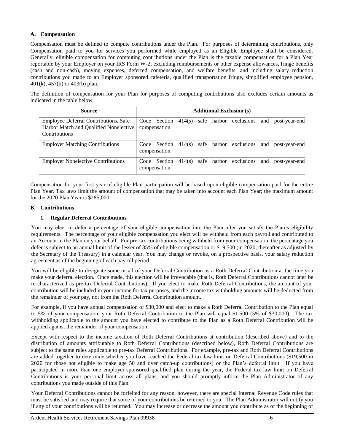## **A. Compensation**

Compensation must be defined to compute contributions under the Plan. For purposes of determining contributions, only Compensation paid to you for services you performed while employed as an Eligible Employee shall be considered. Generally, eligible compensation for computing contributions under the Plan is the taxable compensation for a Plan Year reportable by your Employer on your IRS Form W-2, excluding reimbursements or other expense allowances, fringe benefits (cash and non-cash), moving expenses, deferred compensation, and welfare benefits, and including salary reduction contributions you made to an Employer sponsored cafeteria, qualified transportation fringe, simplified employee pension, 401(k), 457(b) or 403(b) plan.

The definition of compensation for your Plan for purposes of computing contributions also excludes certain amounts as indicated in the table below.

| <b>Source</b>                                                                                           |                               |        |  | <b>Additional Exclusion (s)</b> |     |               |
|---------------------------------------------------------------------------------------------------------|-------------------------------|--------|--|---------------------------------|-----|---------------|
| Employee Deferral Contributions, Safe<br>Harbor Match and Qualified Nonelective<br><b>Contributions</b> | Code Section<br>compensation  | 414(s) |  | safe harbor exclusions          | and | post-year-end |
| <b>Employer Matching Contributions</b>                                                                  | Code Section<br>compensation. | 414(s) |  | safe harbor exclusions          | and | post-year-end |
| <b>Employer Nonelective Contributions</b>                                                               | Code Section<br>compensation. | 414(s) |  | safe harbor exclusions          | and | post-year-end |

Compensation for your first year of eligible Plan participation will be based upon eligible compensation paid for the entire Plan Year. Tax laws limit the amount of compensation that may be taken into account each Plan Year; the maximum amount for the 2020 Plan Year is \$285,000.

# **B. Contributions**

# **1. Regular Deferral Contributions**

You may elect to defer a percentage of your eligible compensation into the Plan after you satisfy the Plan's eligibility requirements. The percentage of your eligible compensation you elect will be withheld from each payroll and contributed to an Account in the Plan on your behalf. For pre-tax contributions being withheld from your compensation, the percentage you defer is subject to an annual limit of the lesser of 85% of eligible compensation or \$19,500 (in 2020; thereafter as adjusted by the Secretary of the Treasury) in a calendar year. You may change or revoke, on a prospective basis, your salary reduction agreement as of the beginning of each payroll period.

You will be eligible to designate some or all of your Deferral Contribution as a Roth Deferral Contribution at the time you make your deferral election. Once made, this election will be irrevocable (that is, Roth Deferral Contributions cannot later be re-characterized as pre-tax Deferral Contributions). If you elect to make Roth Deferral Contributions, the amount of your contribution will be included in your income for tax purposes, and the income tax withholding amounts will be deducted from the remainder of your pay, not from the Roth Deferral Contribution amount.

For example, if you have annual compensation of \$30,000 and elect to make a Roth Deferral Contribution to the Plan equal to 5% of your compensation, your Roth Deferral Contribution to the Plan will equal \$1,500 (5% of \$30,000). The tax withholding applicable to the amount you have elected to contribute to the Plan as a Roth Deferral Contribution will be applied against the remainder of your compensation.

Except with respect to the income taxation of Roth Deferral Contributions at contribution (described above) and to the distribution of amounts attributable to Roth Deferral Contributions (described below), Roth Deferral Contributions are subject to the same rules applicable to pre-tax Deferral Contributions. For example, pre-tax and Roth Deferral Contributions are added together to determine whether you have reached the Federal tax law limit on Deferral Contributions (\$19,500 in 2020 for those not eligible to make age 50 and over catch-up contributions) or the Plan's deferral limit. If you have participated in more than one employer-sponsored qualified plan during the year, the Federal tax law limit on Deferral Contributions is your personal limit across all plans, and you should promptly inform the Plan Administrator of any contributions you made outside of this Plan.

Your Deferral Contributions cannot be forfeited for any reason, however, there are special Internal Revenue Code rules that must be satisfied and may require that some of your contributions be returned to you. The Plan Administrator will notify you if any of your contributions will be returned. You may increase or decrease the amount you contribute as of the beginning of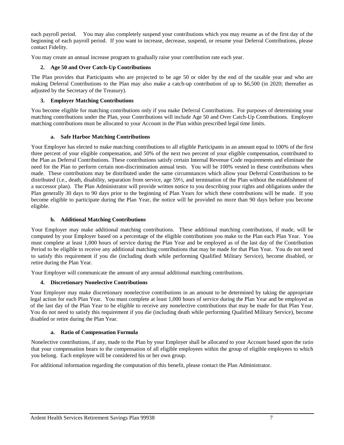each payroll period. You may also completely suspend your contributions which you may resume as of the first day of the beginning of each payroll period. If you want to increase, decrease, suspend, or resume your Deferral Contributions, please contact Fidelity.

You may create an annual increase program to gradually raise your contribution rate each year.

# **2. Age 50 and Over Catch-Up Contributions**

The Plan provides that Participants who are projected to be age 50 or older by the end of the taxable year and who are making Deferral Contributions to the Plan may also make a catch-up contribution of up to \$6,500 (in 2020; thereafter as adjusted by the Secretary of the Treasury).

# **3. Employer Matching Contributions**

You become eligible for matching contributions only if you make Deferral Contributions. For purposes of determining your matching contributions under the Plan, your Contributions will include Age 50 and Over Catch-Up Contributions. Employer matching contributions must be allocated to your Account in the Plan within prescribed legal time limits.

# **a. Safe Harbor Matching Contributions**

Your Employer has elected to make matching contributions to all eligible Participants in an amount equal to 100% of the first three percent of your eligible compensation, and 50% of the next two percent of your eligible compensation, contributed to the Plan as Deferral Contributions. These contributions satisfy certain Internal Revenue Code requirements and eliminate the need for the Plan to perform certain non-discrimination annual tests. You will be 100% vested in these contributions when made. These contributions may be distributed under the same circumstances which allow your Deferral Contributions to be distributed (i.e., death, disability, separation from service, age 59½, and termination of the Plan without the establishment of a successor plan). The Plan Administrator will provide written notice to you describing your rights and obligations under the Plan generally 30 days to 90 days prior to the beginning of Plan Years for which these contributions will be made. If you become eligible to participate during the Plan Year, the notice will be provided no more than 90 days before you become eligible.

# **b. Additional Matching Contributions**

Your Employer may make additional matching contributions. These additional matching contributions, if made, will be computed by your Employer based on a percentage of the eligible contributions you make to the Plan each Plan Year. You must complete at least 1,000 hours of service during the Plan Year and be employed as of the last day of the Contribution Period to be eligible to receive any additional matching contributions that may be made for that Plan Year. You do not need to satisfy this requirement if you die (including death while performing Qualified Military Service), become disabled, or retire during the Plan Year.

Your Employer will communicate the amount of any annual additional matching contributions.

# **4. Discretionary Nonelective Contributions**

Your Employer may make discretionary nonelective contributions in an amount to be determined by taking the appropriate legal action for each Plan Year. You must complete at least 1,000 hours of service during the Plan Year and be employed as of the last day of the Plan Year to be eligible to receive any nonelective contributions that may be made for that Plan Year. You do not need to satisfy this requirement if you die (including death while performing Qualified Military Service), become disabled or retire during the Plan Year.

## **a. Ratio of Compensation Formula**

Nonelective contributions, if any, made to the Plan by your Employer shall be allocated to your Account based upon the ratio that your compensation bears to the compensation of all eligible employees within the group of eligible employees to which you belong. Each employee will be considered his or her own group.

For additional information regarding the computation of this benefit, please contact the Plan Administrator.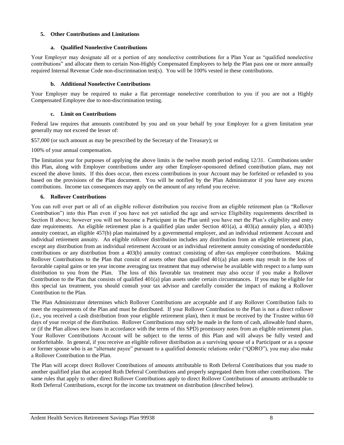# **5. Other Contributions and Limitations**

## **a. Qualified Nonelective Contributions**

Your Employer may designate all or a portion of any nonelective contributions for a Plan Year as "qualified nonelective contributions" and allocate them to certain Non-Highly Compensated Employees to help the Plan pass one or more annually required Internal Revenue Code non-discrimination test(s). You will be 100% vested in these contributions.

# **b. Additional Nonelective Contributions**

Your Employer may be required to make a flat percentage nonelective contribution to you if you are not a Highly Compensated Employee due to non-discrimination testing.

# **c. Limit on Contributions**

Federal law requires that amounts contributed by you and on your behalf by your Employer for a given limitation year generally may not exceed the lesser of:

\$57,000 (or such amount as may be prescribed by the Secretary of the Treasury); or

100% of your annual compensation.

The limitation year for purposes of applying the above limits is the twelve month period ending 12/31. Contributions under this Plan, along with Employer contributions under any other Employer-sponsored defined contribution plans, may not exceed the above limits. If this does occur, then excess contributions in your Account may be forfeited or refunded to you based on the provisions of the Plan document. You will be notified by the Plan Administrator if you have any excess contributions. Income tax consequences may apply on the amount of any refund you receive.

# **6. Rollover Contributions**

You can roll over part or all of an eligible rollover distribution you receive from an eligible retirement plan (a "Rollover Contribution") into this Plan even if you have not yet satisfied the age and service Eligibility requirements described in Section II above; however you will not become a Participant in the Plan until you have met the Plan's eligibility and entry date requirements. An eligible retirement plan is a qualified plan under Section 401(a), a 403(a) annuity plan, a 403(b) annuity contract, an eligible 457(b) plan maintained by a governmental employer, and an individual retirement Account and individual retirement annuity. An eligible rollover distribution includes any distribution from an eligible retirement plan, except any distribution from an individual retirement Account or an individual retirement annuity consisting of nondeductible contributions or any distribution from a 403(b) annuity contract consisting of after-tax employee contributions. Making Rollover Contributions to the Plan that consist of assets other than qualified 401(a) plan assets may result in the loss of favorable capital gains or ten year income averaging tax treatment that may otherwise be available with respect to a lump sum distribution to you from the Plan. The loss of this favorable tax treatment may also occur if you make a Rollover Contribution to the Plan that consists of qualified  $401(a)$  plan assets under certain circumstances. If you may be eligible for this special tax treatment, you should consult your tax advisor and carefully consider the impact of making a Rollover Contribution to the Plan.

The Plan Administrator determines which Rollover Contributions are acceptable and if any Rollover Contribution fails to meet the requirements of the Plan and must be distributed. If your Rollover Contribution to the Plan is not a direct rollover (i.e., you received a cash distribution from your eligible retirement plan), then it must be received by the Trustee within 60 days of your receipt of the distribution. Rollover Contributions may only be made in the form of cash, allowable fund shares, or (if the Plan allows new loans in accordance with the terms of this SPD) promissory notes from an eligible retirement plan. Your Rollover Contributions Account will be subject to the terms of this Plan and will always be fully vested and nonforfeitable. In general, if you receive an eligible rollover distribution as a surviving spouse of a Participant or as a spouse or former spouse who is an "alternate payee" pursuant to a qualified domestic relations order ("QDRO"), you may also make a Rollover Contribution to the Plan.

The Plan will accept direct Rollover Contributions of amounts attributable to Roth Deferral Contributions that you made to another qualified plan that accepted Roth Deferral Contributions and properly segregated them from other contributions. The same rules that apply to other direct Rollover Contributions apply to direct Rollover Contributions of amounts attributable to Roth Deferral Contributions, except for the income tax treatment on distribution (described below).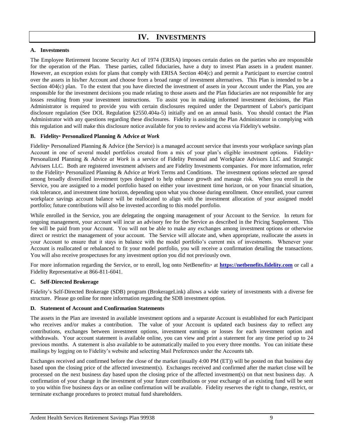# **IV. INVESTMENTS**

#### <span id="page-10-0"></span>**A. Investments**

The Employee Retirement Income Security Act of 1974 (ERISA) imposes certain duties on the parties who are responsible for the operation of the Plan. These parties, called fiduciaries, have a duty to invest Plan assets in a prudent manner. However, an exception exists for plans that comply with ERISA Section 404(c) and permit a Participant to exercise control over the assets in his/her Account and choose from a broad range of investment alternatives. This Plan is intended to be a Section 404(c) plan. To the extent that you have directed the investment of assets in your Account under the Plan, you are responsible for the investment decisions you made relating to those assets and the Plan fiduciaries are not responsible for any losses resulting from your investment instructions. To assist you in making informed investment decisions, the Plan Administrator is required to provide you with certain disclosures required under the Department of Labor's participant disclosure regulation (See DOL Regulation §2550.404a-5) initially and on an annual basis. You should contact the Plan Administrator with any questions regarding these disclosures. Fidelity is assisting the Plan Administrator in complying with this regulation and will make this disclosure notice available for you to review and access via Fidelity's website.

## **B. Fidelity® Personalized Planning & Advice** *at Work*

Fidelity® Personalized Planning & Advice (the Service) is a managed account service that invests your workplace savings plan Account in one of several model portfolios created from a mix of your plan's eligible investment options. Fidelity® Personalized Planning & Advice *at Work* is a service of Fidelity Personal and Workplace Advisors LLC and Strategic Advisers LLC. Both are registered investment advisers and are Fidelity Investments companies. For more information, refer to the Fidelity® Personalized Planning & Advice *at Work* Terms and Conditions. The investment options selected are spread among broadly diversified investment types designed to help enhance growth and manage risk. When you enroll in the Service, you are assigned to a model portfolio based on either your investment time horizon, or on your financial situation, risk tolerance, and investment time horizon, depending upon what you choose during enrollment. Once enrolled, your current workplace savings account balance will be reallocated to align with the investment allocation of your assigned model portfolio; future contributions will also be invested according to this model portfolio.

While enrolled in the Service, you are delegating the ongoing management of your Account to the Service. In return for ongoing management, your account will incur an advisory fee for the Service as described in the Pricing Supplement. This fee will be paid from your Account. You will not be able to make any exchanges among investment options or otherwise direct or restrict the management of your account. The Service will allocate and, when appropriate, reallocate the assets in your Account to ensure that it stays in balance with the model portfolio's current mix of investments. Whenever your Account is reallocated or rebalanced to fit your model portfolio, you will receive a confirmation detailing the transactions. You will also receive prospectuses for any investment option you did not previously own.

For more information regarding the Service, or to enroll, log onto NetBenefits<sup>®</sup> at **[https://netbenefits.fidelity.com](https://netbenefits.fidelity.com/)** or call a Fidelity Representative at 866-811-6041.

#### **C. Self-Directed Brokerage**

Fidelity's Self-Directed Brokerage (SDB) program (BrokerageLink) allows a wide variety of investments with a diverse fee structure. Please go online for more information regarding the SDB investment option.

#### **D. Statement of Account and Confirmation Statements**

The assets in the Plan are invested in available investment options and a separate Account is established for each Participant who receives and/or makes a contribution. The value of your Account is updated each business day to reflect any contributions, exchanges between investment options, investment earnings or losses for each investment option and withdrawals. Your account statement is available online, you can view and print a statement for any time period up to 24 previous months. A statement is also available to be automatically mailed to you every three months. You can initiate these mailings by logging on to Fidelity's website and selecting Mail Preferences under the Accounts tab.

Exchanges received and confirmed before the close of the market (usually 4:00 PM (ET)) will be posted on that business day based upon the closing price of the affected investment(s). Exchanges received and confirmed after the market close will be processed on the next business day based upon the closing price of the affected investment(s) on that next business day. A confirmation of your change in the investment of your future contributions or your exchange of an existing fund will be sent to you within five business days or an online confirmation will be available. Fidelity reserves the right to change, restrict, or terminate exchange procedures to protect mutual fund shareholders.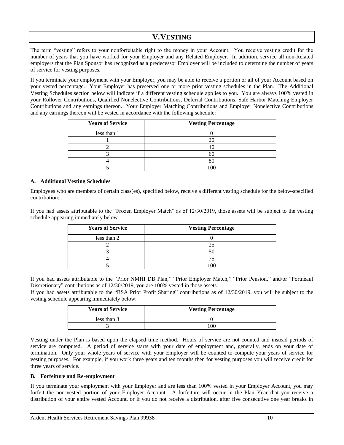# **V.VESTING**

<span id="page-11-0"></span>The term "vesting" refers to your nonforfeitable right to the money in your Account. You receive vesting credit for the number of years that you have worked for your Employer and any Related Employer. In addition, service all non-Related employers that the Plan Sponsor has recognized as a predecessor Employer will be included to determine the number of years of service for vesting purposes.

If you terminate your employment with your Employer, you may be able to receive a portion or all of your Account based on your vested percentage. Your Employer has preserved one or more prior vesting schedules in the Plan. The Additional Vesting Schedules section below will indicate if a different vesting schedule applies to you. You are always 100% vested in your Rollover Contributions, Qualified Nonelective Contributions, Deferral Contributions, Safe Harbor Matching Employer Contributions and any earnings thereon. Your Employer Matching Contributions and Employer Nonelective Contributions and any earnings thereon will be vested in accordance with the following schedule:

| <b>Years of Service</b> | <b>Vesting Percentage</b> |
|-------------------------|---------------------------|
| less than 1             |                           |
|                         |                           |
|                         |                           |
|                         | 60                        |
|                         | 80                        |
|                         |                           |

## **A. Additional Vesting Schedules**

Employees who are members of certain class(es), specified below, receive a different vesting schedule for the below-specified contribution:

If you had assets attributable to the "Frozen Employer Match" as of 12/30/2019, those assets will be subject to the vesting schedule appearing immediately below.

| <b>Years of Service</b> | <b>Vesting Percentage</b> |
|-------------------------|---------------------------|
| less than 2             |                           |
|                         |                           |
|                         |                           |
|                         |                           |
|                         | 100                       |

If you had assets attributable to the "Prior NMHI DB Plan," "Prior Employer Match," "Prior Pension," and/or "Portneauf Discretionary" contributions as of 12/30/2019, you are 100% vested in those assets.

If you had assets attributable to the "BSA Prior Profit Sharing" contributions as of 12/30/2019, you will be subject to the vesting schedule appearing immediately below.

| <b>Years of Service</b> | <b>Vesting Percentage</b> |
|-------------------------|---------------------------|
| less than 3             |                           |
|                         | $\alpha$                  |

Vesting under the Plan is based upon the elapsed time method. Hours of service are not counted and instead periods of service are computed. A period of service starts with your date of employment and, generally, ends on your date of termination. Only your whole years of service with your Employer will be counted to compute your years of service for vesting purposes. For example, if you work three years and ten months then for vesting purposes you will receive credit for three years of service.

## **B. Forfeiture and Re-employment**

If you terminate your employment with your Employer and are less than 100% vested in your Employer Account, you may forfeit the non-vested portion of your Employer Account. A forfeiture will occur in the Plan Year that you receive a distribution of your entire vested Account, or if you do not receive a distribution, after five consecutive one year breaks in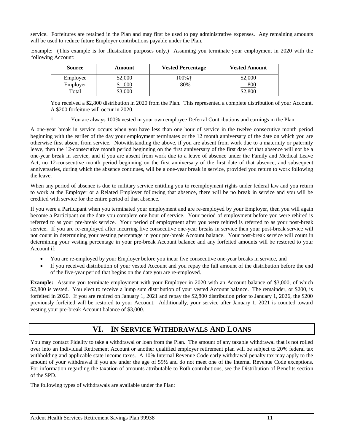service. Forfeitures are retained in the Plan and may first be used to pay administrative expenses. Any remaining amounts will be used to reduce future Employer contributions payable under the Plan.

Example: (This example is for illustration purposes only.) Assuming you terminate your employment in 2020 with the following Account:

| Source   | Amount  | <b>Vested Percentage</b> | <b>Vested Amount</b> |
|----------|---------|--------------------------|----------------------|
| Employee | \$2,000 | $100\%$ t                | \$2,000              |
| Employer | .000    | 80%                      | 800                  |
| Total    | \$3,000 |                          | \$2,800              |

You received a \$2,800 distribution in 2020 from the Plan. This represented a complete distribution of your Account. A \$200 forfeiture will occur in 2020.

† You are always 100% vested in your own employee Deferral Contributions and earnings in the Plan.

A one-year break in service occurs when you have less than one hour of service in the twelve consecutive month period beginning with the earlier of the day your employment terminates or the 12 month anniversary of the date on which you are otherwise first absent from service. Notwithstanding the above, if you are absent from work due to a maternity or paternity leave, then the 12-consecutive month period beginning on the first anniversary of the first date of that absence will not be a one-year break in service, and if you are absent from work due to a leave of absence under the Family and Medical Leave Act, no 12-consecutive month period beginning on the first anniversary of the first date of that absence, and subsequent anniversaries, during which the absence continues, will be a one-year break in service, provided you return to work following the leave.

When any period of absence is due to military service entitling you to reemployment rights under federal law and you return to work at the Employer or a Related Employer following that absence, there will be no break in service and you will be credited with service for the entire period of that absence.

If you were a Participant when you terminated your employment and are re-employed by your Employer, then you will again become a Participant on the date you complete one hour of service. Your period of employment before you were rehired is referred to as your pre-break service. Your period of employment after you were rehired is referred to as your post-break service. If you are re-employed after incurring five consecutive one-year breaks in service then your post-break service will not count in determining your vesting percentage in your pre-break Account balance. Your post-break service will count in determining your vesting percentage in your pre-break Account balance and any forfeited amounts will be restored to your Account if:

- You are re-employed by your Employer before you incur five consecutive one-year breaks in service, and
- If you received distribution of your vested Account and you repay the full amount of the distribution before the end of the five-year period that begins on the date you are re-employed.

**Example:** Assume you terminate employment with your Employer in 2020 with an Account balance of \$3,000, of which \$2,800 is vested. You elect to receive a lump sum distribution of your vested Account balance. The remainder, or \$200, is forfeited in 2020. If you are rehired on January 1, 2021 and repay the \$2,800 distribution prior to January 1, 2026, the \$200 previously forfeited will be restored to your Account. Additionally, your service after January 1, 2021 is counted toward vesting your pre-break Account balance of \$3,000.

# **VI. IN SERVICE WITHDRAWALS AND LOANS**

<span id="page-12-0"></span>You may contact Fidelity to take a withdrawal or loan from the Plan. The amount of any taxable withdrawal that is not rolled over into an Individual Retirement Account or another qualified employer retirement plan will be subject to 20% federal tax withholding and applicable state income taxes. A 10% Internal Revenue Code early withdrawal penalty tax may apply to the amount of your withdrawal if you are under the age of 59½ and do not meet one of the Internal Revenue Code exceptions. For information regarding the taxation of amounts attributable to Roth contributions, see the Distribution of Benefits section of the SPD.

The following types of withdrawals are available under the Plan: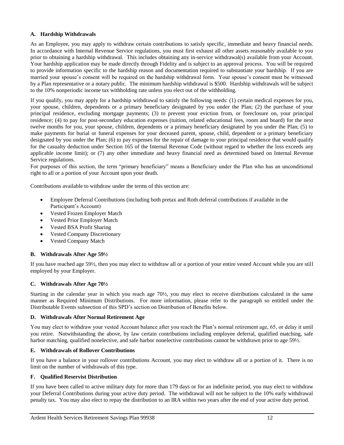# **A. Hardship Withdrawals**

As an Employee, you may apply to withdraw certain contributions to satisfy specific, immediate and heavy financial needs. In accordance with Internal Revenue Service regulations, you must first exhaust all other assets reasonably available to you prior to obtaining a hardship withdrawal. This includes obtaining any in-service withdrawal(s) available from your Account. Your hardship application may be made directly through Fidelity and is subject to an approval process. You will be required to provide information specific to the hardship reason and documentation required to substantiate your hardship. If you are married your spouse's consent will be required on the hardship withdrawal form. Your spouse's consent must be witnessed by a Plan representative or a notary public. The minimum hardship withdrawal is \$500. Hardship withdrawals will be subject to the 10% nonperiodic income tax withholding rate unless you elect out of the withholding.

If you qualify, you may apply for a hardship withdrawal to satisfy the following needs: (1) certain medical expenses for you, your spouse, children, dependents or a primary beneficiary designated by you under the Plan; (2) the purchase of your principal residence, excluding mortgage payments; (3) to prevent your eviction from, or foreclosure on, your principal residence; (4) to pay for post-secondary education expenses (tuition, related educational fees, room and board) for the next twelve months for you, your spouse, children, dependents or a primary beneficiary designated by you under the Plan; (5) to make payments for burial or funeral expenses for your deceased parent, spouse, child, dependent or a primary beneficiary designated by you under the Plan; (6) to pay expenses for the repair of damage to your principal residence that would qualify for the casualty deduction under Section 165 of the Internal Revenue Code (without regard to whether the loss exceeds any applicable income limit); or (7) any other immediate and heavy financial need as determined based on Internal Revenue Service regulations.

For purposes of this section, the term "primary beneficiary" means a Beneficiary under the Plan who has an unconditional right to all or a portion of your Account upon your death.

Contributions available to withdraw under the terms of this section are:

- Employee Deferral Contributions (including both pretax and Roth deferral contributions if available in the Participant's Account)
- Vested Frozen Employer Match
- Vested Prior Employer Match
- Vested BSA Profit Sharing
- Vested Company Discretionary
- Vested Company Match

## **B. Withdrawals After Age 59½**

If you have reached age 59½, then you may elect to withdraw all or a portion of your entire vested Account while you are still employed by your Employer.

## **C. Withdrawals After Age 70½**

Starting in the calendar year in which you reach age 70½, you may elect to receive distributions calculated in the same manner as Required Minimum Distributions. For more information, please refer to the paragraph so entitled under the Distributable Events subsection of this SPD's section on Distribution of Benefits below.

## **D. Withdrawals After Normal Retirement Age**

You may elect to withdraw your vested Account balance after you reach the Plan's normal retirement age, 65, or delay it until you retire. Notwithstanding the above, by law certain contributions including employee deferral, qualified matching, safe harbor matching, qualified nonelective, and safe harbor nonelective contributions cannot be withdrawn prior to age 59½.

## **E. Withdrawals of Rollover Contributions**

If you have a balance in your rollover contributions Account, you may elect to withdraw all or a portion of it. There is no limit on the number of withdrawals of this type.

# **F. Qualified Reservist Distribution**

If you have been called to active military duty for more than 179 days or for an indefinite period, you may elect to withdraw your Deferral Contributions during your active duty period. The withdrawal will not be subject to the 10% early withdrawal penalty tax. You may also elect to repay the distribution to an IRA within two years after the end of your active duty period.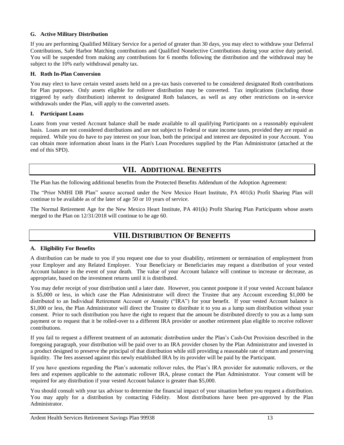# **G. Active Military Distribution**

If you are performing Qualified Military Service for a period of greater than 30 days, you may elect to withdraw your Deferral Contributions, Safe Harbor Matching contributions and Qualified Nonelective Contributions during your active duty period. You will be suspended from making any contributions for 6 months following the distribution and the withdrawal may be subject to the 10% early withdrawal penalty tax.

## **H. Roth In-Plan Conversion**

You may elect to have certain vested assets held on a pre-tax basis converted to be considered designated Roth contributions for Plan purposes. Only assets eligible for rollover distribution may be converted. Tax implications (including those triggered by early distribution) inherent to designated Roth balances, as well as any other restrictions on in-service withdrawals under the Plan, will apply to the converted assets.

# **I. Participant Loans**

Loans from your vested Account balance shall be made available to all qualifying Participants on a reasonably equivalent basis. Loans are not considered distributions and are not subject to Federal or state income taxes, provided they are repaid as required. While you do have to pay interest on your loan, both the principal and interest are deposited in your Account. You can obtain more information about loans in the Plan's Loan Procedures supplied by the Plan Administrator (attached at the end of this SPD).

# **VII. ADDITIONAL BENEFITS**

<span id="page-14-0"></span>The Plan has the following additional benefits from the Protected Benefits Addendum of the Adoption Agreement:

The "Prior NMHI DB Plan" source accrued under the New Mexico Heart Institute, PA 401(k) Profit Sharing Plan will continue to be available as of the later of age 50 or 10 years of service.

<span id="page-14-1"></span>The Normal Retirement Age for the New Mexico Heart Institute, PA 401(k) Profit Sharing Plan Participants whose assets merged to the Plan on 12/31/2018 will continue to be age 60.

# **VIII. DISTRIBUTION OF BENEFITS**

# **A. Eligibility For Benefits**

A distribution can be made to you if you request one due to your disability, retirement or termination of employment from your Employer and any Related Employer. Your Beneficiary or Beneficiaries may request a distribution of your vested Account balance in the event of your death. The value of your Account balance will continue to increase or decrease, as appropriate, based on the investment returns until it is distributed.

You may defer receipt of your distribution until a later date. However, you cannot postpone it if your vested Account balance is \$5,000 or less, in which case the Plan Administrator will direct the Trustee that any Account exceeding \$1,000 be distributed to an Individual Retirement Account or Annuity ("IRA") for your benefit. If your vested Account balance is \$1,000 or less, the Plan Administrator will direct the Trustee to distribute it to you as a lump sum distribution without your consent. Prior to such distribution you have the right to request that the amount be distributed directly to you as a lump sum payment or to request that it be rolled-over to a different IRA provider or another retirement plan eligible to receive rollover contributions.

If you fail to request a different treatment of an automatic distribution under the Plan's Cash-Out Provision described in the foregoing paragraph, your distribution will be paid over to an IRA provider chosen by the Plan Administrator and invested in a product designed to preserve the principal of that distribution while still providing a reasonable rate of return and preserving liquidity. The fees assessed against this newly established IRA by its provider will be paid by the Participant.

If you have questions regarding the Plan's automatic rollover rules, the Plan's IRA provider for automatic rollovers, or the fees and expenses applicable to the automatic rollover IRA, please contact the Plan Administrator. Your consent will be required for any distribution if your vested Account balance is greater than \$5,000.

You should consult with your tax advisor to determine the financial impact of your situation before you request a distribution. You may apply for a distribution by contacting Fidelity. Most distributions have been pre-approved by the Plan Administrator.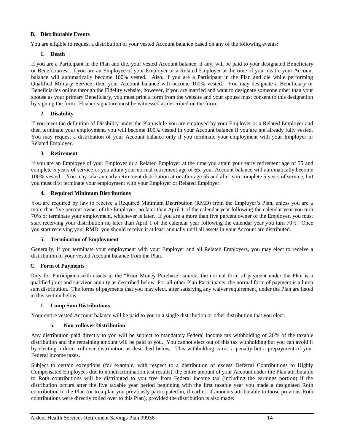## **B. Distributable Events**

You are eligible to request a distribution of your vested Account balance based on any of the following events:

## **1. Death**

If you are a Participant in the Plan and die, your vested Account balance, if any, will be paid to your designated Beneficiary or Beneficiaries. If you are an Employee of your Employer or a Related Employer at the time of your death, your Account balance will automatically become 100% vested. Also, if you are a Participant in the Plan and die while performing Qualified Military Service, then your Account balance will become 100% vested. You may designate a Beneficiary or Beneficiaries online through the Fidelity website, however, if you are married and want to designate someone other than your spouse as your primary Beneficiary, you must print a form from the website and your spouse must consent to this designation by signing the form. His/her signature must be witnessed as described on the form.

# **2. Disability**

If you meet the definition of Disability under the Plan while you are employed by your Employer or a Related Employer and then terminate your employment, you will become 100% vested in your Account balance if you are not already fully vested. You may request a distribution of your Account balance only if you terminate your employment with your Employer or Related Employer.

# **3. Retirement**

If you are an Employee of your Employer or a Related Employer at the time you attain your early retirement age of 55 and complete 5 years of service or you attain your normal retirement age of 65, your Account balance will automatically become 100% vested. You may take an early retirement distribution at or after age 55 and after you complete 5 years of service, but you must first terminate your employment with your Employer or Related Employer.

# **4. Required Minimum Distributions**

You are required by law to receive a Required Minimum Distribution (RMD) from the Employer's Plan, unless you are a more than five percent owner of the Employer, no later than April 1 of the calendar year following the calendar year you turn 70½ or terminate your employment, whichever is later. If you are a more than five percent owner of the Employer, you must start receiving your distribution no later than April 1 of the calendar year following the calendar year you turn 70½. Once you start receiving your RMD, you should receive it at least annually until all assets in your Account are distributed.

## **5. Termination of Employment**

Generally, if you terminate your employment with your Employer and all Related Employers, you may elect to receive a distribution of your vested Account balance from the Plan.

# **C. Form of Payments**

Only for Participants with assets in the "Prior Money Purchase" source, the normal form of payment under the Plan is a qualified joint and survivor annuity as described below. For all other Plan Participants, the normal form of payment is a lump sum distribution. The forms of payments that you may elect, after satisfying any waiver requirement, under the Plan are listed in this section below.

## **1. Lump Sum Distributions**

Your entire vested Account balance will be paid to you in a single distribution or other distribution that you elect.

## **a. Non-rollover Distribution**

Any distribution paid directly to you will be subject to mandatory Federal income tax withholding of 20% of the taxable distribution and the remaining amount will be paid to you. You cannot elect out of this tax withholding but you can avoid it by electing a direct rollover distribution as described below. This withholding is not a penalty but a prepayment of your Federal income taxes.

Subject to certain exceptions (for example, with respect to a distribution of excess Deferral Contributions to Highly Compensated Employees due to nondiscrimination test results), the entire amount of your Account under the Plan attributable to Roth contributions will be distributed to you free from Federal income tax (including the earnings portion) if the distribution occurs after the five taxable year period beginning with the first taxable year you made a designated Roth contribution to the Plan (or to a plan you previously participated in, if earlier, if amounts attributable to those previous Roth contributions were directly rolled over to this Plan), provided the distribution is also made: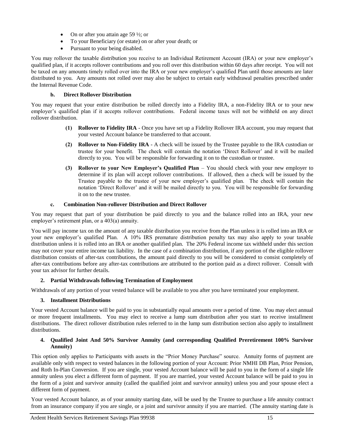- On or after you attain age 59  $\frac{1}{2}$ ; or
- To your Beneficiary (or estate) on or after your death; or
- Pursuant to your being disabled.

You may rollover the taxable distribution you receive to an Individual Retirement Account (IRA) or your new employer's qualified plan, if it accepts rollover contributions and you roll over this distribution within 60 days after receipt. You will not be taxed on any amounts timely rolled over into the IRA or your new employer's qualified Plan until those amounts are later distributed to you. Any amounts not rolled over may also be subject to certain early withdrawal penalties prescribed under the Internal Revenue Code.

# **b. Direct Rollover Distribution**

You may request that your entire distribution be rolled directly into a Fidelity IRA, a non-Fidelity IRA or to your new employer's qualified plan if it accepts rollover contributions. Federal income taxes will not be withheld on any direct rollover distribution.

- **(1) Rollover to Fidelity IRA** Once you have set up a Fidelity Rollover IRA account, you may request that your vested Account balance be transferred to that account.
- **(2) Rollover to Non-Fidelity IRA** A check will be issued by the Trustee payable to the IRA custodian or trustee for your benefit. The check will contain the notation 'Direct Rollover' and it will be mailed directly to you. You will be responsible for forwarding it on to the custodian or trustee.
- **(3) Rollover to your New Employer's Qualified Plan** You should check with your new employer to determine if its plan will accept rollover contributions. If allowed, then a check will be issued by the Trustee payable to the trustee of your new employer's qualified plan. The check will contain the notation 'Direct Rollover' and it will be mailed directly to you. You will be responsible for forwarding it on to the new trustee.

# **c. Combination Non-rollover Distribution and Direct Rollover**

You may request that part of your distribution be paid directly to you and the balance rolled into an IRA, your new employer's retirement plan, or a 403(a) annuity.

You will pay income tax on the amount of any taxable distribution you receive from the Plan unless it is rolled into an IRA or your new employer's qualified Plan. A 10% IRS premature distribution penalty tax may also apply to your taxable distribution unless it is rolled into an IRA or another qualified plan. The 20% Federal income tax withheld under this section may not cover your entire income tax liability. In the case of a combination distribution, if any portion of the eligible rollover distribution consists of after-tax contributions, the amount paid directly to you will be considered to consist completely of after-tax contributions before any after-tax contributions are attributed to the portion paid as a direct rollover. Consult with your tax advisor for further details.

# **2. Partial Withdrawals following Termination of Employment**

Withdrawals of any portion of your vested balance will be available to you after you have terminated your employment.

# **3. Installment Distributions**

Your vested Account balance will be paid to you in substantially equal amounts over a period of time. You may elect annual or more frequent installments. You may elect to receive a lump sum distribution after you start to receive installment distributions. The direct rollover distribution rules referred to in the lump sum distribution section also apply to installment distributions.

# **4. Qualified Joint And 50% Survivor Annuity (and corresponding Qualified Preretirement 100% Survivor Annuity)**

This option only applies to Participants with assets in the "Prior Money Purchase" source. Annuity forms of payment are available only with respect to vested balances in the following portion of your Account: Prior NMHI DB Plan, Prior Pension, and Roth In-Plan Conversion. If you are single, your vested Account balance will be paid to you in the form of a single life annuity unless you elect a different form of payment. If you are married, your vested Account balance will be paid to you in the form of a joint and survivor annuity (called the qualified joint and survivor annuity) unless you and your spouse elect a different form of payment.

Your vested Account balance, as of your annuity starting date, will be used by the Trustee to purchase a life annuity contract from an insurance company if you are single, or a joint and survivor annuity if you are married. (The annuity starting date is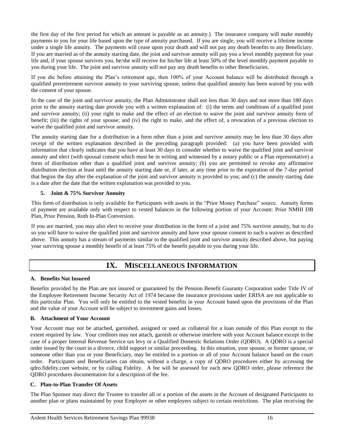the first day of the first period for which an amount is payable as an annuity.) The insurance company will make monthly payments to you for your life based upon the type of annuity purchased. If you are single, you will receive a lifetime income under a single life annuity. The payments will cease upon your death and will not pay any death benefits to any Beneficiary. If you are married as of the annuity starting date, the joint and survivor annuity will pay you a level monthly payment for your life and, if your spouse survives you, he/she will receive for his/her life at least 50% of the level monthly payment payable to you during your life. The joint and survivor annuity will not pay any death benefits to other Beneficiaries.

If you die before attaining the Plan's retirement age, then 100% of your Account balance will be distributed through a qualified preretirement survivor annuity to your surviving spouse, unless that qualified annuity has been waived by you with the consent of your spouse.

In the case of the joint and survivor annuity, the Plan Administrator shall not less than 30 days and not more than 180 days prior to the annuity starting date provide you with a written explanation of: (i) the terms and conditions of a qualified joint and survivor annuity; (ii) your right to make and the effect of an election to waive the joint and survivor annuity form of benefit; (iii) the rights of your spouse; and (iv) the right to make, and the effect of, a revocation of a previous election to waive the qualified joint and survivor annuity.

The annuity starting date for a distribution in a form other than a joint and survivor annuity may be less than 30 days after receipt of the written explanation described in the preceding paragraph provided: (a) you have been provided with information that clearly indicates that you have at least 30 days to consider whether to waive the qualified joint and survivor annuity and elect (with spousal consent which must be in writing and witnessed by a notary public or a Plan representative) a form of distribution other than a qualified joint and survivor annuity; (b) you are permitted to revoke any affirmative distribution election at least until the annuity starting date or, if later, at any time prior to the expiration of the 7-day period that begins the day after the explanation of the joint and survivor annuity is provided to you; and (c) the annuity starting date is a date after the date that the written explanation was provided to you.

# **5. Joint & 75% Survivor Annuity**

This form of distribution is only available for Participants with assets in the "Prior Money Purchase" source. Annuity forms of payment are available only with respect to vested balances in the following portion of your Account: Prior NMHI DB Plan, Prior Pension, Roth In-Plan Conversion.

If you are married, you may also elect to receive your distribution in the form of a joint and 75% survivor annuity, but to do so you will have to waive the qualified joint and survivor annuity and have your spouse consent to such a waiver as described above. This annuity has a stream of payments similar to the qualified joint and survivor annuity described above, but paying your surviving spouse a monthly benefit of at least 75% of the benefit payable to you during your life.

# **IX. MISCELLANEOUS INFORMATION**

## <span id="page-17-0"></span>**A. Benefits Not Insured**

Benefits provided by the Plan are not insured or guaranteed by the Pension Benefit Guaranty Corporation under Title IV of the Employee Retirement Income Security Act of 1974 because the insurance provisions under ERISA are not applicable to this particular Plan. You will only be entitled to the vested benefits in your Account based upon the provisions of the Plan and the value of your Account will be subject to investment gains and losses.

## **B. Attachment of Your Account**

Your Account may not be attached, garnished, assigned or used as collateral for a loan outside of this Plan except to the extent required by law. Your creditors may not attach, garnish or otherwise interfere with your Account balance except in the case of a proper Internal Revenue Service tax levy or a Qualified Domestic Relations Order (QDRO). A QDRO is a special order issued by the court in a divorce, child support or similar proceeding. In this situation, your spouse, or former spouse, or someone other than you or your Beneficiary, may be entitled to a portion or all of your Account balance based on the court order. Participants and Beneficiaries can obtain, without a charge, a copy of QDRO procedures either by accessing the qdro.fidelity.com website, or by calling Fidelity. A fee will be assessed for each new QDRO order, please reference the QDRO procedures documentation for a description of the fee.

## **C. Plan-to-Plan Transfer Of Assets**

The Plan Sponsor may direct the Trustee to transfer all or a portion of the assets in the Account of designated Participants to another plan or plans maintained by your Employer or other employers subject to certain restrictions. The plan receiving the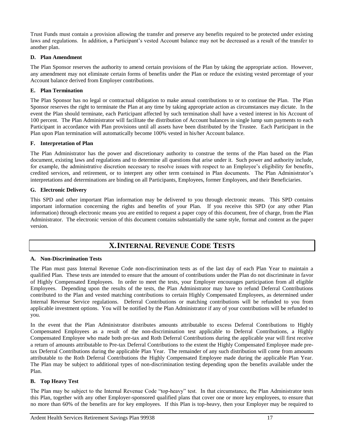Trust Funds must contain a provision allowing the transfer and preserve any benefits required to be protected under existing laws and regulations. In addition, a Participant's vested Account balance may not be decreased as a result of the transfer to another plan.

## **D. Plan Amendment**

The Plan Sponsor reserves the authority to amend certain provisions of the Plan by taking the appropriate action. However, any amendment may not eliminate certain forms of benefits under the Plan or reduce the existing vested percentage of your Account balance derived from Employer contributions.

# **E. Plan Termination**

The Plan Sponsor has no legal or contractual obligation to make annual contributions to or to continue the Plan. The Plan Sponsor reserves the right to terminate the Plan at any time by taking appropriate action as circumstances may dictate. In the event the Plan should terminate, each Participant affected by such termination shall have a vested interest in his Account of 100 percent. The Plan Administrator will facilitate the distribution of Account balances in single lump sum payments to each Participant in accordance with Plan provisions until all assets have been distributed by the Trustee. Each Participant in the Plan upon Plan termination will automatically become 100% vested in his/her Account balance.

# **F. Interpretation of Plan**

The Plan Administrator has the power and discretionary authority to construe the terms of the Plan based on the Plan document, existing laws and regulations and to determine all questions that arise under it. Such power and authority include, for example, the administrative discretion necessary to resolve issues with respect to an Employee's eligibility for benefits, credited services, and retirement, or to interpret any other term contained in Plan documents. The Plan Administrator's interpretations and determinations are binding on all Participants, Employees, former Employees, and their Beneficiaries.

# **G. Electronic Delivery**

This SPD and other important Plan information may be delivered to you through electronic means. This SPD contains important information concerning the rights and benefits of your Plan. If you receive this SPD (or any other Plan information) through electronic means you are entitled to request a paper copy of this document, free of charge, from the Plan Administrator. The electronic version of this document contains substantially the same style, format and content as the paper version.

# **X.INTERNAL REVENUE CODE TESTS**

## <span id="page-18-0"></span>**A. Non-Discrimination Tests**

The Plan must pass Internal Revenue Code non-discrimination tests as of the last day of each Plan Year to maintain a qualified Plan. These tests are intended to ensure that the amount of contributions under the Plan do not discriminate in favor of Highly Compensated Employees. In order to meet the tests, your Employer encourages participation from all eligible Employees. Depending upon the results of the tests, the Plan Administrator may have to refund Deferral Contributions contributed to the Plan and vested matching contributions to certain Highly Compensated Employees, as determined under Internal Revenue Service regulations. Deferral Contributions or matching contributions will be refunded to you from applicable investment options. You will be notified by the Plan Administrator if any of your contributions will be refunded to you.

In the event that the Plan Administrator distributes amounts attributable to excess Deferral Contributions to Highly Compensated Employees as a result of the non-discrimination test applicable to Deferral Contributions, a Highly Compensated Employee who made both pre-tax and Roth Deferral Contributions during the applicable year will first receive a return of amounts attributable to Pre-tax Deferral Contributions to the extent the Highly Compensated Employee made pretax Deferral Contributions during the applicable Plan Year. The remainder of any such distribution will come from amounts attributable to the Roth Deferral Contributions the Highly Compensated Employee made during the applicable Plan Year. The Plan may be subject to additional types of non-discrimination testing depending upon the benefits available under the Plan.

## **B. Top Heavy Test**

The Plan may be subject to the Internal Revenue Code "top-heavy" test. In that circumstance, the Plan Administrator tests this Plan, together with any other Employer-sponsored qualified plans that cover one or more key employees, to ensure that no more than 60% of the benefits are for key employees. If this Plan is top-heavy, then your Employer may be required to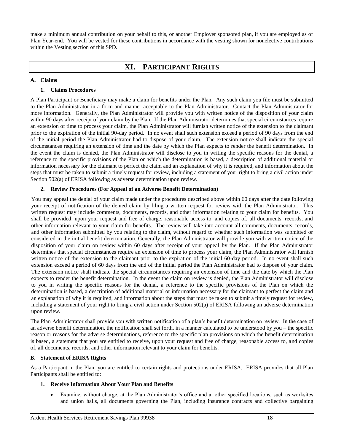<span id="page-19-0"></span>make a minimum annual contribution on your behalf to this, or another Employer sponsored plan, if you are employed as of Plan Year-end. You will be vested for these contributions in accordance with the vesting shown for nonelective contributions within the Vesting section of this SPD.

# **XI. PARTICIPANT RIGHTS**

## **A. Claims**

## **1. Claims Procedures**

A Plan Participant or Beneficiary may make a claim for benefits under the Plan. Any such claim you file must be submitted to the Plan Administrator in a form and manner acceptable to the Plan Administrator. Contact the Plan Administrator for more information. Generally, the Plan Administrator will provide you with written notice of the disposition of your claim within 90 days after receipt of your claim by the Plan. If the Plan Administrator determines that special circumstances require an extension of time to process your claim, the Plan Administrator will furnish written notice of the extension to the claimant prior to the expiration of the initial 90-day period. In no event shall such extension exceed a period of 90 days from the end of the initial period the Plan Administrator had to dispose of your claim. The extension notice shall indicate the special circumstances requiring an extension of time and the date by which the Plan expects to render the benefit determination. In the event the claim is denied, the Plan Administrator will disclose to you in writing the specific reasons for the denial, a reference to the specific provisions of the Plan on which the determination is based, a description of additional material or information necessary for the claimant to perfect the claim and an explanation of why it is required, and information about the steps that must be taken to submit a timely request for review, including a statement of your right to bring a civil action under Section 502(a) of ERISA following as adverse determination upon review.

## **2. Review Procedures (For Appeal of an Adverse Benefit Determination)**

You may appeal the denial of your claim made under the procedures described above within 60 days after the date following your receipt of notification of the denied claim by filing a written request for review with the Plan Administrator. This written request may include comments, documents, records, and other information relating to your claim for benefits. You shall be provided, upon your request and free of charge, reasonable access to, and copies of, all documents, records, and other information relevant to your claim for benefits. The review will take into account all comments, documents, records, and other information submitted by you relating to the claim, without regard to whether such information was submitted or considered in the initial benefit determination. Generally, the Plan Administrator will provide you with written notice of the disposition of your claim on review within 60 days after receipt of your appeal by the Plan. If the Plan Administrator determines that special circumstances require an extension of time to process your claim, the Plan Administrator will furnish written notice of the extension to the claimant prior to the expiration of the initial 60-day period. In no event shall such extension exceed a period of 60 days from the end of the initial period the Plan Administrator had to dispose of your claim. The extension notice shall indicate the special circumstances requiring an extension of time and the date by which the Plan expects to render the benefit determination. In the event the claim on review is denied, the Plan Administrator will disclose to you in writing the specific reasons for the denial, a reference to the specific provisions of the Plan on which the determination is based, a description of additional material or information necessary for the claimant to perfect the claim and an explanation of why it is required, and information about the steps that must be taken to submit a timely request for review, including a statement of your right to bring a civil action under Section 502(a) of ERISA following an adverse determination upon review.

The Plan Administrator shall provide you with written notification of a plan's benefit determination on review. In the case of an adverse benefit determination, the notification shall set forth, in a manner calculated to be understood by you – the specific reason or reasons for the adverse determinations, reference to the specific plan provisions on which the benefit determination is based, a statement that you are entitled to receive, upon your request and free of charge, reasonable access to, and copies of, all documents, records, and other information relevant to your claim for benefits.

## **B. Statement of ERISA Rights**

As a Participant in the Plan, you are entitled to certain rights and protections under ERISA. ERISA provides that all Plan Participants shall be entitled to:

## **1. Receive Information About Your Plan and Benefits**

 Examine, without charge, at the Plan Administrator's office and at other specified locations, such as worksites and union halls, all documents governing the Plan, including insurance contracts and collective bargaining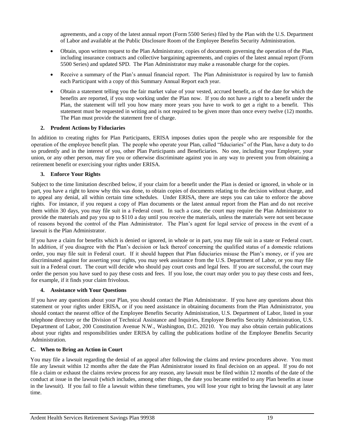agreements, and a copy of the latest annual report (Form 5500 Series) filed by the Plan with the U.S. Department of Labor and available at the Public Disclosure Room of the Employee Benefits Security Administration.

- Obtain, upon written request to the Plan Administrator, copies of documents governing the operation of the Plan, including insurance contracts and collective bargaining agreements, and copies of the latest annual report (Form 5500 Series) and updated SPD. The Plan Administrator may make a reasonable charge for the copies.
- Receive a summary of the Plan's annual financial report. The Plan Administrator is required by law to furnish each Participant with a copy of this Summary Annual Report each year.
- Obtain a statement telling you the fair market value of your vested, accrued benefit, as of the date for which the benefits are reported, if you stop working under the Plan now. If you do not have a right to a benefit under the Plan, the statement will tell you how many more years you have to work to get a right to a benefit. This statement must be requested in writing and is not required to be given more than once every twelve (12) months. The Plan must provide the statement free of charge.

## **2. Prudent Actions by Fiduciaries**

In addition to creating rights for Plan Participants, ERISA imposes duties upon the people who are responsible for the operation of the employee benefit plan. The people who operate your Plan, called "fiduciaries" of the Plan, have a duty to do so prudently and in the interest of you, other Plan Participants and Beneficiaries. No one, including your Employer, your union, or any other person, may fire you or otherwise discriminate against you in any way to prevent you from obtaining a retirement benefit or exercising your rights under ERISA.

# **3. Enforce Your Rights**

Subject to the time limitation described below, if your claim for a benefit under the Plan is denied or ignored, in whole or in part, you have a right to know why this was done, to obtain copies of documents relating to the decision without charge, and to appeal any denial, all within certain time schedules. Under ERISA, there are steps you can take to enforce the above rights. For instance, if you request a copy of Plan documents or the latest annual report from the Plan and do not receive them within 30 days, you may file suit in a Federal court. In such a case, the court may require the Plan Administrator to provide the materials and pay you up to \$110 a day until you receive the materials, unless the materials were not sent because of reasons beyond the control of the Plan Administrator. The Plan's agent for legal service of process in the event of a lawsuit is the Plan Administrator.

If you have a claim for benefits which is denied or ignored, in whole or in part, you may file suit in a state or Federal court. In addition, if you disagree with the Plan's decision or lack thereof concerning the qualified status of a domestic relations order, you may file suit in Federal court. If it should happen that Plan fiduciaries misuse the Plan's money, or if you are discriminated against for asserting your rights, you may seek assistance from the U.S. Department of Labor, or you may file suit in a Federal court. The court will decide who should pay court costs and legal fees. If you are successful, the court may order the person you have sued to pay these costs and fees. If you lose, the court may order you to pay these costs and fees, for example, if it finds your claim frivolous.

## **4. Assistance with Your Questions**

If you have any questions about your Plan, you should contact the Plan Administrator. If you have any questions about this statement or your rights under ERISA, or if you need assistance in obtaining documents from the Plan Administrator, you should contact the nearest office of the Employee Benefits Security Administration, U.S. Department of Labor, listed in your telephone directory or the Division of Technical Assistance and Inquiries, Employee Benefits Security Administration, U.S. Department of Labor, 200 Constitution Avenue N.W., Washington, D.C. 20210. You may also obtain certain publications about your rights and responsibilities under ERISA by calling the publications hotline of the Employee Benefits Security Administration.

## **C. When to Bring an Action in Court**

You may file a lawsuit regarding the denial of an appeal after following the claims and review procedures above. You must file any lawsuit within 12 months after the date the Plan Administrator issued its final decision on an appeal. If you do not file a claim or exhaust the claims review process for any reason, any lawsuit must be filed within 12 months of the date of the conduct at issue in the lawsuit (which includes, among other things, the date you became entitled to any Plan benefits at issue in the lawsuit). If you fail to file a lawsuit within these timeframes, you will lose your right to bring the lawsuit at any later time.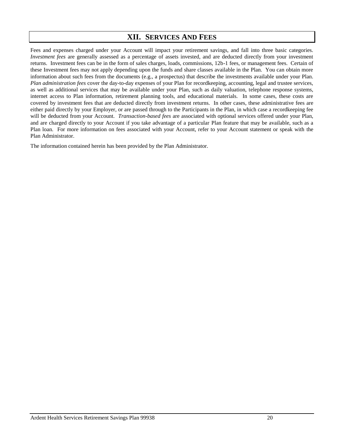# **XII. SERVICES AND FEES**

<span id="page-21-0"></span>Fees and expenses charged under your Account will impact your retirement savings, and fall into three basic categories*. Investment fees* are generally assessed as a percentage of assets invested, and are deducted directly from your investment returns. Investment fees can be in the form of sales charges, loads, commissions, 12b-1 fees, or management fees. Certain of these Investment fees may not apply depending upon the funds and share classes available in the Plan. You can obtain more information about such fees from the documents (e.g., a prospectus) that describe the investments available under your Plan. *Plan administration fees* cover the day-to-day expenses of your Plan for recordkeeping, accounting, legal and trustee services, as well as additional services that may be available under your Plan, such as daily valuation, telephone response systems, internet access to Plan information, retirement planning tools, and educational materials. In some cases, these costs are covered by investment fees that are deducted directly from investment returns. In other cases, these administrative fees are either paid directly by your Employer, or are passed through to the Participants in the Plan, in which case a recordkeeping fee will be deducted from your Account. *Transaction-based fees* are associated with optional services offered under your Plan, and are charged directly to your Account if you take advantage of a particular Plan feature that may be available, such as a Plan loan. For more information on fees associated with your Account, refer to your Account statement or speak with the Plan Administrator.

The information contained herein has been provided by the Plan Administrator.